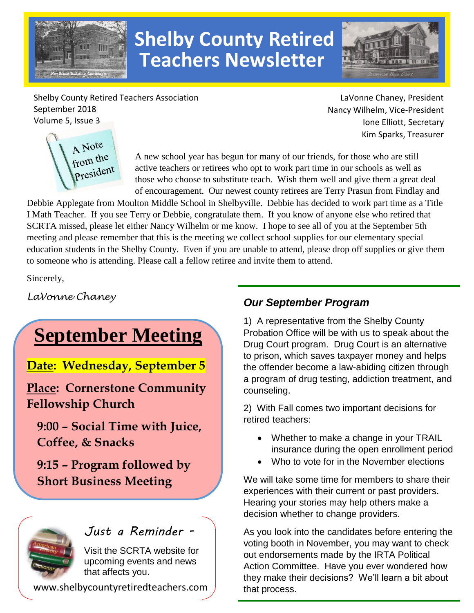

# **Shelby County Retired Teachers Newsletter**



Shelby County Retired Teachers Association September 2018 Volume 5, Issue 3

LaVonne Chaney, President Nancy Wilhelm, Vice-President Ione Elliott, Secretary Kim Sparks, Treasurer



A new school year has begun for many of our friends, for those who are still active teachers or retirees who opt to work part time in our schools as well as those who choose to substitute teach. Wish them well and give them a great deal of encouragement. Our newest county retirees are Terry Prasun from Findlay and

Debbie Applegate from Moulton Middle School in Shelbyville. Debbie has decided to work part time as a Title I Math Teacher. If you see Terry or Debbie, congratulate them. If you know of anyone else who retired that SCRTA missed, please let either Nancy Wilhelm or me know. I hope to see all of you at the September 5th meeting and please remember that this is the meeting we collect school supplies for our elementary special education students in the Shelby County. Even if you are unable to attend, please drop off supplies or give them to someone who is attending. Please call a fellow retiree and invite them to attend.

Sincerely,

*LaVonne Chaney*

# **September Meeting**

**Date: Wednesday, September 5** 

**Place: Cornerstone Community Fellowship Church**

**9:00 – Social Time with Juice, Coffee, & Snacks** 

**9:15 – Program followed by Short Business Meeting**



*Just a Reminder -*

Visit the SCRTA website for upcoming events and news that affects you.

www.shelbycountyretiredteachers.com

### *Our September Program*

1) A representative from the Shelby County Probation Office will be with us to speak about the Drug Court program. Drug Court is an alternative to prison, which saves taxpayer money and helps the offender become a law-abiding citizen through a program of drug testing, addiction treatment, and counseling.

2) With Fall comes two important decisions for retired teachers:

- Whether to make a change in your TRAIL insurance during the open enrollment period
- Who to vote for in the November elections

We will take some time for members to share their experiences with their current or past providers. Hearing your stories may help others make a decision whether to change providers.

As you look into the candidates before entering the voting booth in November, you may want to check out endorsements made by the IRTA Political Action Committee. Have you ever wondered how they make their decisions? We'll learn a bit about that process.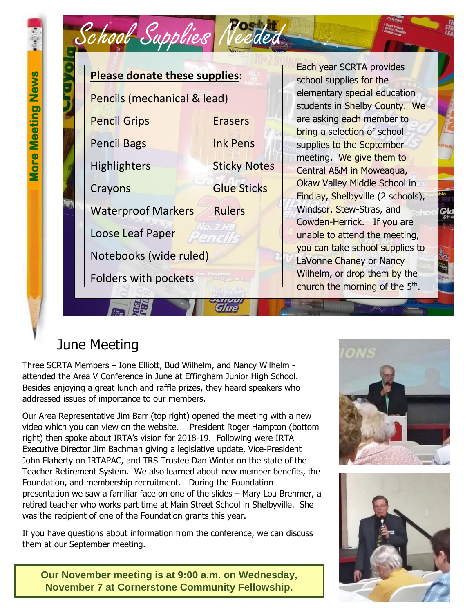

## June Meeting

Three SCRTA Members – Ione Elliott, Bud Wilhelm, and Nancy Wilhelm attended the Area V Conference in June at Effingham Junior High School. Besides enjoying a great lunch and raffle prizes, they heard speakers who addressed issues of importance to our members.

Our Area Representative Jim Barr (top right) opened the meeting with a new video which you can view on the website. President Roger Hampton (bottom right) then spoke about IRTA's vision for 2018-19. Following were IRTA Executive Director Jim Bachman giving a legislative update, Vice-President John Flaherty on IRTAPAC, and TRS Trustee Dan Winter on the state of the Teacher Retirement System. We also learned about new member benefits, the Foundation, and membership recruitment. During the Foundation presentation we saw a familiar face on one of the slides – Mary Lou Brehmer, a retired teacher who works part time at Main Street School in Shelbyville. She was the recipient of one of the Foundation grants this year.

If you have questions about information from the conference, we can discuss them at our September meeting.





**Our November meeting is at 9:00 a.m. on Wednesday, November 7 at Cornerstone Community Fellowship.**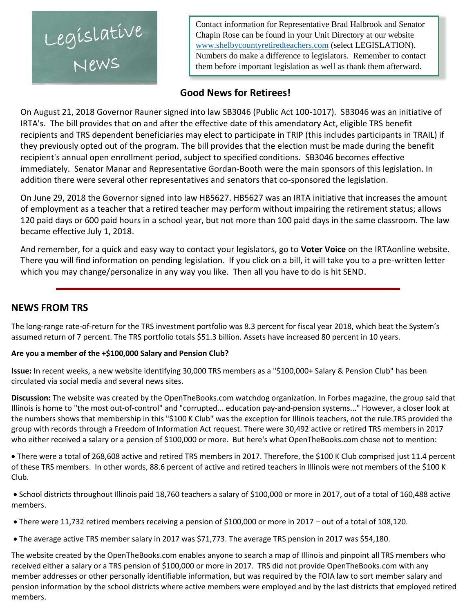Legíslatíve

Contact information for Representative Brad Halbrook and Senator Chapin Rose can be found in your Unit Directory at our website [www.shelbycountyretiredteachers.com](http://www.shelbycountyretiredteachers.com/) (select LEGISLATION). Numbers do make a difference to legislators. Remember to contact them before important legislation as well as thank them afterward.

#### **Good News for Retirees!**

On August 21, 2018 Governor Rauner signed into law SB3046 (Public Act 100-1017). SB3046 was an initiative of IRTA's. The bill provides that on and after the effective date of this amendatory Act, eligible TRS benefit recipients and TRS dependent beneficiaries may elect to participate in TRIP (this includes participants in TRAIL) if they previously opted out of the program. The bill provides that the election must be made during the benefit recipient's annual open enrollment period, subject to specified conditions. SB3046 becomes effective immediately. Senator Manar and Representative Gordan-Booth were the main sponsors of this legislation. In addition there were several other representatives and senators that co-sponsored the legislation.

On June 29, 2018 the Governor signed into law HB5627. HB5627 was an IRTA initiative that increases the amount of employment as a teacher that a retired teacher may perform without impairing the retirement status; allows 120 paid days or 600 paid hours in a school year, but not more than 100 paid days in the same classroom. The law became effective July 1, 2018.

And remember, for a quick and easy way to contact your legislators, go to **Voter Voice** on the IRTAonline website. There you will find information on pending legislation. If you click on a bill, it will take you to a pre-written letter which you may change/personalize in any way you like. Then all you have to do is hit SEND.

#### **NEWS FROM TRS**

The long-range rate-of-return for the TRS investment portfolio was 8.3 percent for fiscal year 2018, which beat the System's assumed return of 7 percent. The TRS portfolio totals \$51.3 billion. Assets have increased 80 percent in 10 years.

#### **Are you a member of the +\$100,000 Salary and Pension Club?**

**Issue:** In recent weeks, a new website identifying 30,000 TRS members as a "\$100,000+ Salary & Pension Club" has been circulated via social media and several news sites.

**Discussion:** The website was created by the OpenTheBooks.com watchdog organization. In Forbes magazine, the group said that Illinois is home to "the most out-of-control" and "corrupted... education pay-and-pension systems..." However, a closer look at the numbers shows that membership in this "\$100 K Club" was the exception for Illinois teachers, not the rule.TRS provided the group with records through a Freedom of Information Act request. There were 30,492 active or retired TRS members in 2017 who either received a salary or a pension of \$100,000 or more. But here's what OpenTheBooks.com chose not to mention:

 There were a total of 268,608 active and retired TRS members in 2017. Therefore, the \$100 K Club comprised just 11.4 percent of these TRS members. In other words, 88.6 percent of active and retired teachers in Illinois were not members of the \$100 K Club.

 School districts throughout Illinois paid 18,760 teachers a salary of \$100,000 or more in 2017, out of a total of 160,488 active members.

- There were 11,732 retired members receiving a pension of \$100,000 or more in 2017 out of a total of 108,120.
- The average active TRS member salary in 2017 was \$71,773. The average TRS pension in 2017 was \$54,180.

The website created by the OpenTheBooks.com enables anyone to search a map of Illinois and pinpoint all TRS members who received either a salary or a TRS pension of \$100,000 or more in 2017. TRS did not provide OpenTheBooks.com with any member addresses or other personally identifiable information, but was required by the FOIA law to sort member salary and pension information by the school districts where active members were employed and by the last districts that employed retired members.